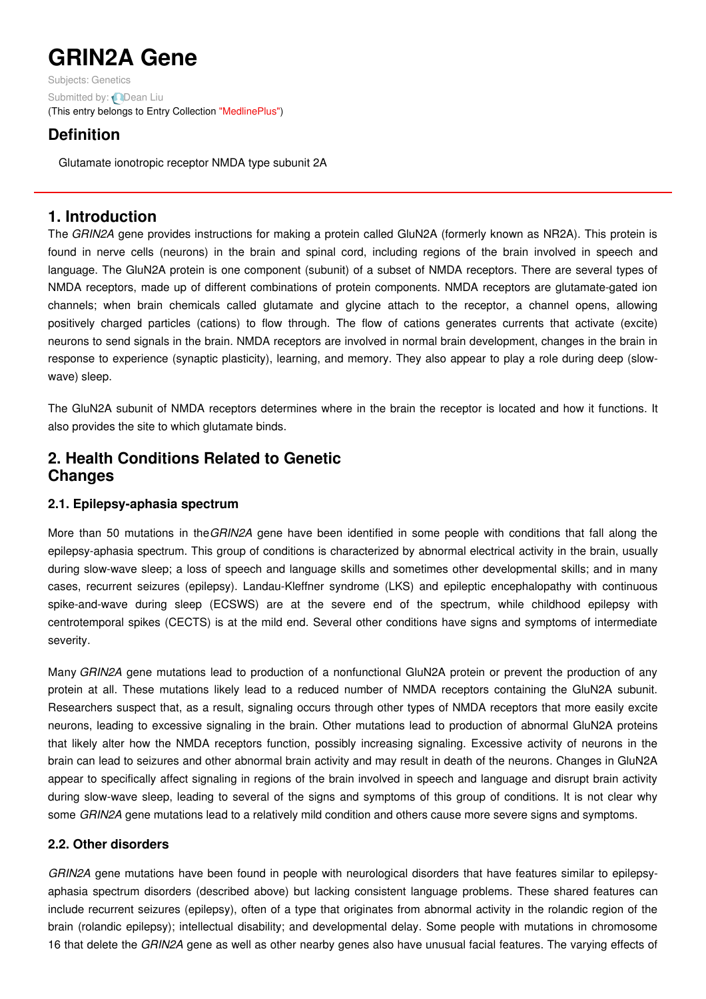# **GRIN2A Gene**

Subjects: [Genetics](https://encyclopedia.pub/item/subject/56) Submitted by: **Q[Dean](https://sciprofiles.com/profile/1156464) Liu** (This entry belongs to Entry Collection ["MedlinePlus"](https://encyclopedia.pub/entry/collection/24))

## **Definition**

Glutamate ionotropic receptor NMDA type subunit 2A

## **1. Introduction**

The *GRIN2A* gene provides instructions for making a protein called GluN2A (formerly known as NR2A). This protein is found in nerve cells (neurons) in the brain and spinal cord, including regions of the brain involved in speech and language. The GluN2A protein is one component (subunit) of a subset of NMDA receptors. There are several types of NMDA receptors, made up of different combinations of protein components. NMDA receptors are glutamate-gated ion channels; when brain chemicals called glutamate and glycine attach to the receptor, a channel opens, allowing positively charged particles (cations) to flow through. The flow of cations generates currents that activate (excite) neurons to send signals in the brain. NMDA receptors are involved in normal brain development, changes in the brain in response to experience (synaptic plasticity), learning, and memory. They also appear to play a role during deep (slowwave) sleep.

The GluN2A subunit of NMDA receptors determines where in the brain the receptor is located and how it functions. It also provides the site to which glutamate binds.

## **2. Health Conditions Related to Genetic Changes**

#### **2.1. Epilepsy-aphasia spectrum**

More than 50 mutations in the*GRIN2A* gene have been identified in some people with conditions that fall along the epilepsy-aphasia spectrum. This group of conditions is characterized by abnormal electrical activity in the brain, usually during slow-wave sleep; a loss of speech and language skills and sometimes other developmental skills; and in many cases, recurrent seizures (epilepsy). Landau-Kleffner syndrome (LKS) and epileptic encephalopathy with continuous spike-and-wave during sleep (ECSWS) are at the severe end of the spectrum, while childhood epilepsy with centrotemporal spikes (CECTS) is at the mild end. Several other conditions have signs and symptoms of intermediate severity.

Many *GRIN2A* gene mutations lead to production of a nonfunctional GluN2A protein or prevent the production of any protein at all. These mutations likely lead to a reduced number of NMDA receptors containing the GluN2A subunit. Researchers suspect that, as a result, signaling occurs through other types of NMDA receptors that more easily excite neurons, leading to excessive signaling in the brain. Other mutations lead to production of abnormal GluN2A proteins that likely alter how the NMDA receptors function, possibly increasing signaling. Excessive activity of neurons in the brain can lead to seizures and other abnormal brain activity and may result in death of the neurons. Changes in GluN2A appear to specifically affect signaling in regions of the brain involved in speech and language and disrupt brain activity during slow-wave sleep, leading to several of the signs and symptoms of this group of conditions. It is not clear why some *GRIN2A* gene mutations lead to a relatively mild condition and others cause more severe signs and symptoms.

#### **2.2. Other disorders**

*GRIN2A* gene mutations have been found in people with neurological disorders that have features similar to epilepsyaphasia spectrum disorders (described above) but lacking consistent language problems. These shared features can include recurrent seizures (epilepsy), often of a type that originates from abnormal activity in the rolandic region of the brain (rolandic epilepsy); intellectual disability; and developmental delay. Some people with mutations in chromosome 16 that delete the *GRIN2A* gene as well as other nearby genes also have unusual facial features. The varying effects of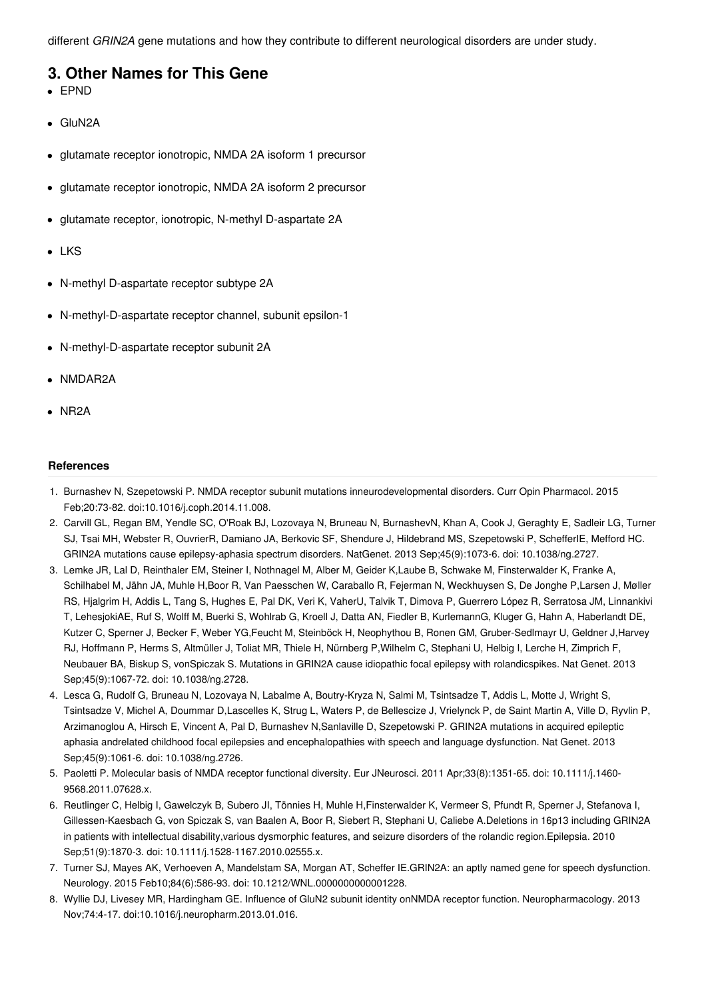different *GRIN2A* gene mutations and how they contribute to different neurological disorders are under study.

### **3. Other Names for This Gene**

- EPND
- GluN2A
- glutamate receptor ionotropic, NMDA 2A isoform 1 precursor
- glutamate receptor ionotropic, NMDA 2A isoform 2 precursor
- glutamate receptor, ionotropic, N-methyl D-aspartate 2A
- LKS
- N-methyl D-aspartate receptor subtype 2A
- N-methyl-D-aspartate receptor channel, subunit epsilon-1
- N-methyl-D-aspartate receptor subunit 2A
- NMDAR2A
- NR2A

#### **References**

- 1. Burnashev N, Szepetowski P. NMDA receptor subunit mutations inneurodevelopmental disorders. Curr Opin Pharmacol. 2015 Feb;20:73-82. doi:10.1016/j.coph.2014.11.008.
- 2. Carvill GL, Regan BM, Yendle SC, O'Roak BJ, Lozovaya N, Bruneau N, BurnashevN, Khan A, Cook J, Geraghty E, Sadleir LG, Turner SJ, Tsai MH, Webster R, OuvrierR, Damiano JA, Berkovic SF, Shendure J, Hildebrand MS, Szepetowski P, SchefferIE, Mefford HC. GRIN2A mutations cause epilepsy-aphasia spectrum disorders. NatGenet. 2013 Sep;45(9):1073-6. doi: 10.1038/ng.2727.
- 3. Lemke JR, Lal D, Reinthaler EM, Steiner I, Nothnagel M, Alber M, Geider K,Laube B, Schwake M, Finsterwalder K, Franke A, Schilhabel M, Jähn JA, Muhle H,Boor R, Van Paesschen W, Caraballo R, Fejerman N, Weckhuysen S, De Jonghe P,Larsen J, Møller RS, Hjalgrim H, Addis L, Tang S, Hughes E, Pal DK, Veri K, VaherU, Talvik T, Dimova P, Guerrero López R, Serratosa JM, Linnankivi T, LehesjokiAE, Ruf S, Wolff M, Buerki S, Wohlrab G, Kroell J, Datta AN, Fiedler B, KurlemannG, Kluger G, Hahn A, Haberlandt DE, Kutzer C, Sperner J, Becker F, Weber YG,Feucht M, Steinböck H, Neophythou B, Ronen GM, Gruber-Sedlmayr U, Geldner J,Harvey RJ, Hoffmann P, Herms S, Altmüller J, Toliat MR, Thiele H, Nürnberg P,Wilhelm C, Stephani U, Helbig I, Lerche H, Zimprich F, Neubauer BA, Biskup S, vonSpiczak S. Mutations in GRIN2A cause idiopathic focal epilepsy with rolandicspikes. Nat Genet. 2013 Sep;45(9):1067-72. doi: 10.1038/ng.2728.
- 4. Lesca G, Rudolf G, Bruneau N, Lozovaya N, Labalme A, Boutry-Kryza N, Salmi M, Tsintsadze T, Addis L, Motte J, Wright S, Tsintsadze V, Michel A, Doummar D,Lascelles K, Strug L, Waters P, de Bellescize J, Vrielynck P, de Saint Martin A, Ville D, Ryvlin P, Arzimanoglou A, Hirsch E, Vincent A, Pal D, Burnashev N,Sanlaville D, Szepetowski P. GRIN2A mutations in acquired epileptic aphasia andrelated childhood focal epilepsies and encephalopathies with speech and language dysfunction. Nat Genet. 2013 Sep;45(9):1061-6. doi: 10.1038/ng.2726.
- 5. Paoletti P. Molecular basis of NMDA receptor functional diversity. Eur JNeurosci. 2011 Apr;33(8):1351-65. doi: 10.1111/j.1460- 9568.2011.07628.x.
- 6. Reutlinger C, Helbig I, Gawelczyk B, Subero JI, Tönnies H, Muhle H,Finsterwalder K, Vermeer S, Pfundt R, Sperner J, Stefanova I, Gillessen-Kaesbach G, von Spiczak S, van Baalen A, Boor R, Siebert R, Stephani U, Caliebe A.Deletions in 16p13 including GRIN2A in patients with intellectual disability,various dysmorphic features, and seizure disorders of the rolandic region.Epilepsia. 2010 Sep;51(9):1870-3. doi: 10.1111/j.1528-1167.2010.02555.x.
- 7. Turner SJ, Mayes AK, Verhoeven A, Mandelstam SA, Morgan AT, Scheffer IE.GRIN2A: an aptly named gene for speech dysfunction. Neurology. 2015 Feb10;84(6):586-93. doi: 10.1212/WNL.0000000000001228.
- 8. Wyllie DJ, Livesey MR, Hardingham GE. Influence of GluN2 subunit identity onNMDA receptor function. Neuropharmacology. 2013 Nov;74:4-17. doi:10.1016/j.neuropharm.2013.01.016.